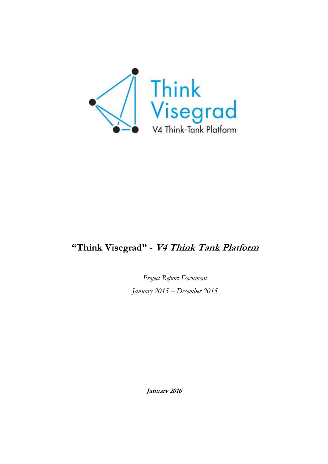

# **"Think Visegrad" - V4 Think Tank Platform**

*Project Report Document January 2015 – December 2015*

**January 2016**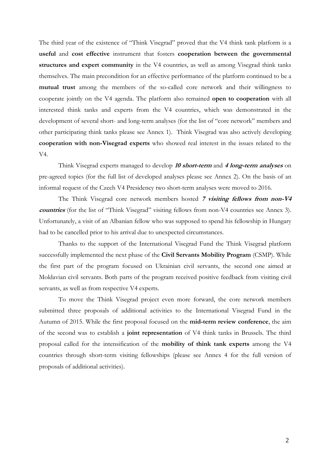The third year of the existence of "Think Visegrad" proved that the V4 think tank platform is a **useful** and **cost effective** instrument that fosters **cooperation between the governmental structures and expert community** in the V4 countries, as well as among Visegrad think tanks themselves. The main precondition for an effective performance of the platform continued to be a **mutual trust** among the members of the so-called core network and their willingness to cooperate jointly on the V4 agenda. The platform also remained **open to cooperation** with all interested think tanks and experts from the V4 countries, which was demonstrated in the development of several short- and long-term analyses (for the list of "core network" members and other participating think tanks please see Annex 1). Think Visegrad was also actively developing **cooperation with non-Visegrad experts** who showed real interest in the issues related to the V4.

Think Visegrad experts managed to develop **<sup>10</sup> short-term** and **4 long-term analyses** on pre-agreed topics (for the full list of developed analyses please see Annex 2). On the basis of an informal request of the Czech V4 Presidency two short-term analyses were moved to 2016.

The Think Visegrad core network members hosted **<sup>7</sup> visiting fellows from non-V4 countries** (for the list of "Think Visegrad" visiting fellows from non-V4 countries see Annex 3). Unfortunately, a visit of an Albanian fellow who was supposed to spend his fellowship in Hungary had to be cancelled prior to his arrival due to unexpected circumstances.

Thanks to the support of the International Visegrad Fund the Think Visegrad platform successfully implemented the next phase of the **Civil Servants Mobility Program** (CSMP). While the first part of the program focused on Ukrainian civil servants, the second one aimed at Moldavian civil servants. Both parts of the program received positive feedback from visiting civil servants, as well as from respective V4 experts.

To move the Think Visegrad project even more forward, the core network members submitted three proposals of additional activities to the International Visegrad Fund in the Autumn of 2015. While the first proposal focused on the **mid-term review conference**, the aim of the second was to establish a **joint representation** of V4 think tanks in Brussels. The third proposal called for the intensification of the **mobility of think tank experts** among the V4 countries through short-term visiting fellowships (please see Annex 4 for the full version of proposals of additional activities).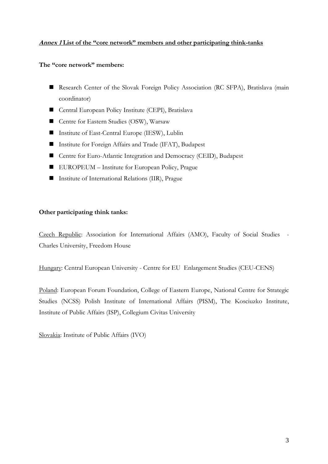# **Annex 1 List of the "core network" members and other participating think-tanks**

### **The "core network" members:**

- Research Center of the Slovak Foreign Policy Association (RC SFPA), Bratislava (main coordinator)
- Central European Policy Institute (CEPI), Bratislava
- Centre for Eastern Studies (OSW), Warsaw
- Institute of East-Central Europe (IESW), Lublin
- Institute for Foreign Affairs and Trade (IFAT), Budapest
- Centre for Euro-Atlantic Integration and Democracy (CEID), Budapest
- EUROPEUM Institute for European Policy, Prague
- Institute of International Relations (IIR), Prague

#### **Other participating think tanks:**

Czech Republic: Association for International Affairs (AMO), Faculty of Social Studies - Charles University, Freedom House

Hungary: Central European University - Centre for EU Enlargement Studies (CEU-CENS)

Poland: European Forum Foundation, College of Eastern Europe, National Centre for Strategic Studies (NCSS) Polish Institute of International Affairs (PISM), The Kosciuzko Institute, Institute of Public Affairs (ISP), Collegium Civitas University

Slovakia: Institute of Public Affairs (IVO)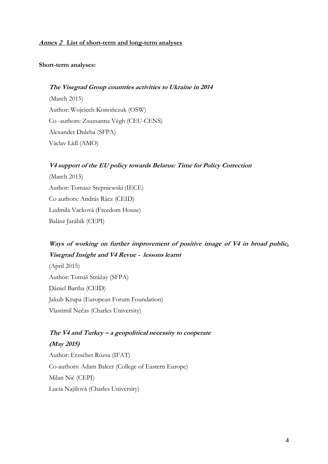### **Annex 2 List of short-term and long-term analyses**

### **Short-term analyses:**

### **The Visegrad Group countries activities to Ukraine in 2014**

(March 2015) Author: Wojciech Konończuk (OSW) Co -authors: Zsuzsanna Végh (CEU-CENS) Alexander Duleba (SFPA) Václav Lídl (AMO)

### **V4 support of the EU policy towards Belarus: Time for Policy Correction**

(March 2015) Author: Tomasz Stepniewski (IECE) Co authors: András Rácz (CEID) Ludmila Vacková (Freedom House) Balász Jarábik (CEPI)

# **Ways of working on further improvement of positive image of V4 in broad public, Visegrad Insight and V4 Revue - lessons learnt**

(April 2015) Author: Tomáš Strážay (SFPA) Dániel Bartha (CEID) Jakub Krupa (European Forum Foundation) Vlastimil Nečas (Charles University)

# **The V4 and Turkey – a geopolitical necessity to cooperate (May 2015)**

Author: Erzsébet Rózsa (IFAT) Co-authors: Adam Balcer (College of Eastern Europe) Milan Nič (CEPI) Lucia Najšlová (Charles University)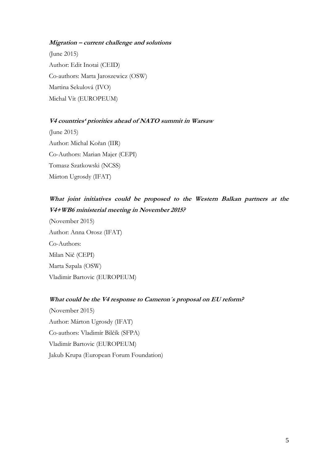### **Migration – current challenge and solutions**

(June 2015) Author: Edit Inotai (CEID) Co-authors: Marta Jaroszewicz (OSW) Martina Sekulová (IVO) Michal Vít (EUROPEUM)

#### **V4 countries' priorities ahead of NATO summit in Warsaw**

(June 2015) Author: Michal Kořan (IIR) Co-Authors: Marian Majer (CEPI) Tomasz Szatkowski (NCSS) Márton Ugrosdy (IFAT)

# **What joint initiatives could be proposed to the Western Balkan partners at the V4+WB6 ministerial meeting in November 2015?**

(November 2015) Author: Anna Orosz (IFAT) Co-Authors: Milan Nič (CEPI) Marta Szpala (OSW) Vladimir Bartovic (EUROPEUM)

# **What could be the V4 response to Cameron´s proposal on EU reform?**

(November 2015) Author: Márton Ugrosdy (IFAT) Co-authors: Vladimír Bilčík (SFPA) Vladimír Bartovic (EUROPEUM) Jakub Krupa (European Forum Foundation)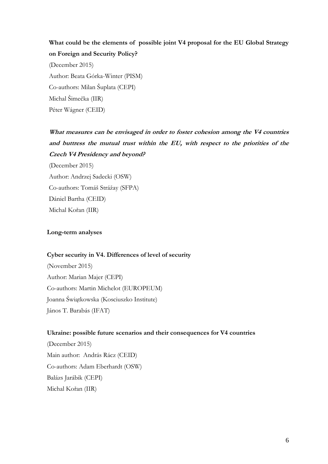# **What could be the elements of possible joint V4 proposal for the EU Global Strategy on Foreign and Security Policy?**

(December 2015) Author: Beata Górka-Winter (PISM) Co-authors: Milan Šuplata (CEPI) Michal Šimečka (IIR) Péter Wágner (CEID)

# **What measures can be envisaged in order to foster cohesion among the V4 countries and buttress the mutual trust within the EU, with respect to the priorities of the Czech V4 Presidency and beyond?**

(December 2015) Author: Andrzej Sadecki (OSW) Co-authors: Tomáš Strážay (SFPA) Dániel Bartha (CEID) Michal Kořan (IIR)

# **Long-term analyses**

### **Cyber security in V4. Differences of level of security**

(November 2015) Author: Marian Majer (CEPI) Co-authors: Martin Michelot (EUROPEUM) Joanna Świątkowska (Kosciuszko Institute) János T. Barabás (IFAT)

### **Ukraine: possible future scenarios and their consequences for V4 countries**

(December 2015) Main author: András Rácz (CEID) Co-authors: Adam Eberhardt (OSW) Balázs Jarábik (CEPI) Michal Kořan (IIR)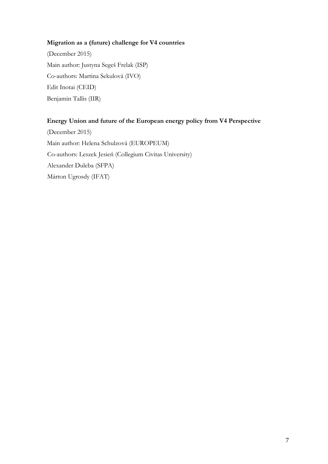# **Migration as a (future) challenge for V4 countries**

(December 2015) Main author: Justyna Segeš Frelak (ISP) Co-authors: Martina Sekulová (IVO) Edit Inotai (CEID) Benjamin Tallis (IIR)

# **Energy Union and future of the European energy policy from V4 Perspective**

(December 2015) Main author: Helena Schulzová (EUROPEUM) Co-authors: Leszek Jesień (Collegium Civitas University) Alexander Duleba (SFPA) Márton Ugrosdy (IFAT)